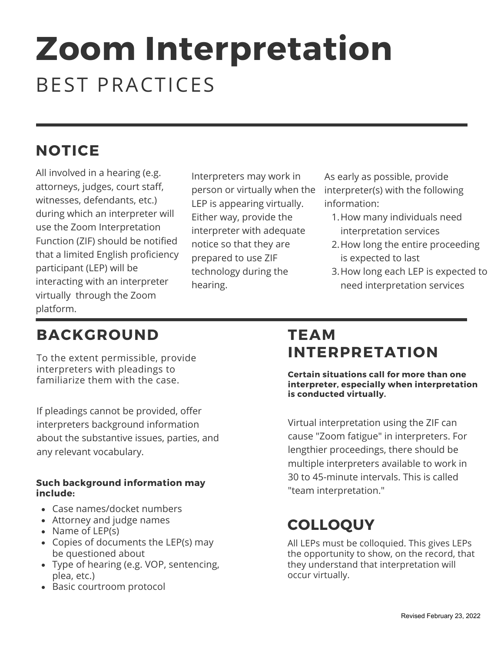# **Zoom Interpretation** BEST PRACTICES

# **NOTICE**

All involved in a hearing (e.g. attorneys, judges, court staff, witnesses, defendants, etc.) during which an interpreter will use the Zoom Interpretation Function (ZIF) should be notified that a limited English proficiency participant (LEP) will be interacting with an interpreter virtually through the Zoom platform.

Interpreters may work in person or virtually when the LEP is appearing virtually. Either way, provide the interpreter with adequate notice so that they are prepared to use ZIF technology during the hearing.

As early as possible, provide interpreter(s) with the following information:

- 1. How many individuals need interpretation services
- 2. How long the entire proceeding is expected to last
- 3. How long each LEP is expected to need interpretation services

### **BACKGROUND**

To the extent permissible, provide interpreters with pleadings to familiarize them with the case.

If pleadings cannot be provided, offer interpreters background information about the substantive issues, parties, and any relevant vocabulary.

#### **Such background information may include:**

- Case names/docket numbers
- Attorney and judge names
- Name of LEP(s)
- Copies of documents the LEP(s) may be questioned about
- Type of hearing (e.g. VOP, sentencing, plea, etc.)
- Basic courtroom protocol

#### **TEAM INTERPRETATION**

**Certain situations call for more than one interpreter, especially when interpretation is conducted virtually.**

Virtual interpretation using the ZIF can cause "Zoom fatigue" in interpreters. For lengthier proceedings, there should be multiple interpreters available to work in 30 to 45-minute intervals. This is called "team interpretation."

# **COLLOQUY**

All LEPs must be colloquied. This gives LEPs the opportunity to show, on the record, that they understand that interpretation will occur virtually.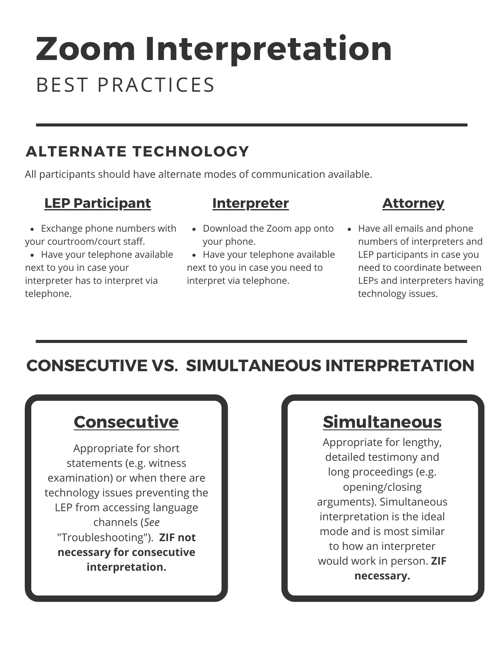# **Zoom Interpretation** BEST PRACTICES

# **ALTERNATE TECHNOLOGY**

All participants should have alternate modes of communication available.

#### **LEP Participant**

#### **Interpreter**

Exchange phone numbers with your courtroom/court staff.

• Have your telephone available next to you in case your interpreter has to interpret via telephone.

- Download the Zoom app onto your phone.
- Have your telephone available next to you in case you need to interpret via telephone.

#### **Attorney**

• Have all emails and phone numbers of interpreters and LEP participants in case you need to coordinate between LEPs and interpreters having technology issues.

**CONSECUTIVE VS. SIMULTANEOUS INTERPRETATION**

### **Consecutive**

Appropriate for short statements (e.g. witness examination) or when there are technology issues preventing the LEP from accessing language channels (*See* "Troubleshooting"). **ZIF not necessary for consecutive interpretation.**

### **Simultaneous**

Appropriate for lengthy, detailed testimony and long proceedings (e.g. opening/closing arguments). Simultaneous interpretation is the ideal mode and is most similar to how an interpreter would work in person. **ZIF necessary.**